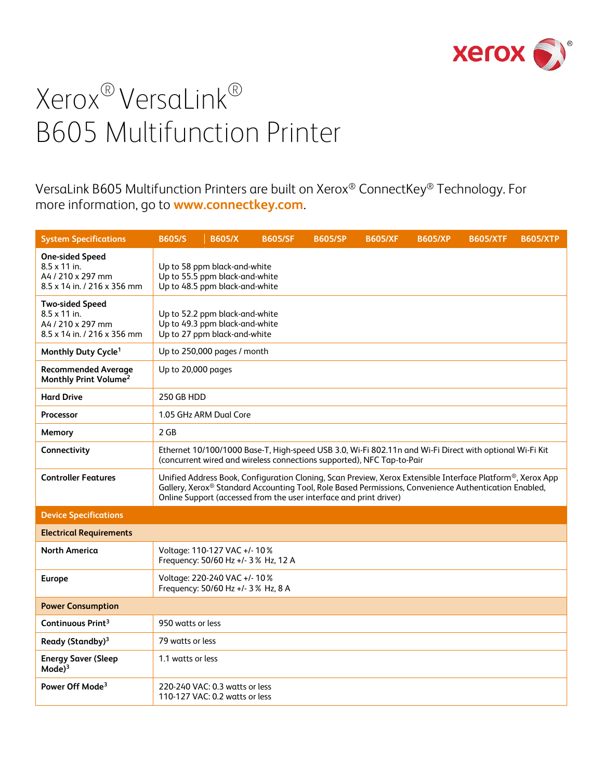

VersaLink B605 Multifunction Printers are built on Xerox® ConnectKey® Technology. For more information, go to **[www.connectkey.com](http://www.connectkey.com/)**.

| <b>System Specifications</b>                                                                      | <b>B605/S</b>                                                                                    | <b>B605/X</b>                                                                                    | <b>B605/SF</b>                                                                                                                                                                                                                                                                                        | <b>B605/SP</b> | <b>B605/XF</b> | <b>B605/XP</b> | <b>B605/XTF</b> | <b>B605/XTP</b> |
|---------------------------------------------------------------------------------------------------|--------------------------------------------------------------------------------------------------|--------------------------------------------------------------------------------------------------|-------------------------------------------------------------------------------------------------------------------------------------------------------------------------------------------------------------------------------------------------------------------------------------------------------|----------------|----------------|----------------|-----------------|-----------------|
| <b>One-sided Speed</b><br>$8.5 \times 11$ in.<br>A4 / 210 x 297 mm<br>8.5 x 14 in. / 216 x 356 mm |                                                                                                  | Up to 58 ppm black-and-white<br>Up to 55.5 ppm black-and-white<br>Up to 48.5 ppm black-and-white |                                                                                                                                                                                                                                                                                                       |                |                |                |                 |                 |
| <b>Two-sided Speed</b><br>$8.5 \times 11$ in.<br>A4 / 210 x 297 mm<br>8.5 x 14 in. / 216 x 356 mm | Up to 52.2 ppm black-and-white<br>Up to 49.3 ppm black-and-white<br>Up to 27 ppm black-and-white |                                                                                                  |                                                                                                                                                                                                                                                                                                       |                |                |                |                 |                 |
| Monthly Duty Cycle <sup>1</sup>                                                                   |                                                                                                  | Up to 250,000 pages / month                                                                      |                                                                                                                                                                                                                                                                                                       |                |                |                |                 |                 |
| <b>Recommended Average</b><br>Monthly Print Volume <sup>2</sup>                                   |                                                                                                  | Up to 20,000 pages                                                                               |                                                                                                                                                                                                                                                                                                       |                |                |                |                 |                 |
| <b>Hard Drive</b>                                                                                 |                                                                                                  | 250 GB HDD                                                                                       |                                                                                                                                                                                                                                                                                                       |                |                |                |                 |                 |
| Processor                                                                                         |                                                                                                  | 1.05 GHz ARM Dual Core                                                                           |                                                                                                                                                                                                                                                                                                       |                |                |                |                 |                 |
| Memory                                                                                            | 2 GB                                                                                             |                                                                                                  |                                                                                                                                                                                                                                                                                                       |                |                |                |                 |                 |
| Connectivity                                                                                      |                                                                                                  |                                                                                                  | Ethernet 10/100/1000 Base-T, High-speed USB 3.0, Wi-Fi 802.11n and Wi-Fi Direct with optional Wi-Fi Kit<br>(concurrent wired and wireless connections supported), NFC Tap-to-Pair                                                                                                                     |                |                |                |                 |                 |
| <b>Controller Features</b>                                                                        |                                                                                                  |                                                                                                  | Unified Address Book, Configuration Cloning, Scan Preview, Xerox Extensible Interface Platform®, Xerox App<br>Gallery, Xerox <sup>®</sup> Standard Accounting Tool, Role Based Permissions, Convenience Authentication Enabled,<br>Online Support (accessed from the user interface and print driver) |                |                |                |                 |                 |
| <b>Device Specifications</b>                                                                      |                                                                                                  |                                                                                                  |                                                                                                                                                                                                                                                                                                       |                |                |                |                 |                 |
| <b>Electrical Requirements</b>                                                                    |                                                                                                  |                                                                                                  |                                                                                                                                                                                                                                                                                                       |                |                |                |                 |                 |
| <b>North America</b>                                                                              |                                                                                                  | Voltage: 110-127 VAC +/- 10%<br>Frequency: 50/60 Hz +/- 3% Hz, 12 A                              |                                                                                                                                                                                                                                                                                                       |                |                |                |                 |                 |
| <b>Europe</b>                                                                                     |                                                                                                  | Voltage: 220-240 VAC +/- 10%<br>Frequency: 50/60 Hz +/- 3% Hz, 8 A                               |                                                                                                                                                                                                                                                                                                       |                |                |                |                 |                 |
| <b>Power Consumption</b>                                                                          |                                                                                                  |                                                                                                  |                                                                                                                                                                                                                                                                                                       |                |                |                |                 |                 |
| Continuous Print <sup>3</sup>                                                                     | 950 watts or less                                                                                |                                                                                                  |                                                                                                                                                                                                                                                                                                       |                |                |                |                 |                 |
| Ready (Standby) <sup>3</sup>                                                                      | 79 watts or less                                                                                 |                                                                                                  |                                                                                                                                                                                                                                                                                                       |                |                |                |                 |                 |
| <b>Energy Saver (Sleep</b><br>Mode) <sup>3</sup>                                                  | 1.1 watts or less                                                                                |                                                                                                  |                                                                                                                                                                                                                                                                                                       |                |                |                |                 |                 |
| Power Off Mode <sup>3</sup>                                                                       |                                                                                                  | 220-240 VAC: 0.3 watts or less<br>110-127 VAC: 0.2 watts or less                                 |                                                                                                                                                                                                                                                                                                       |                |                |                |                 |                 |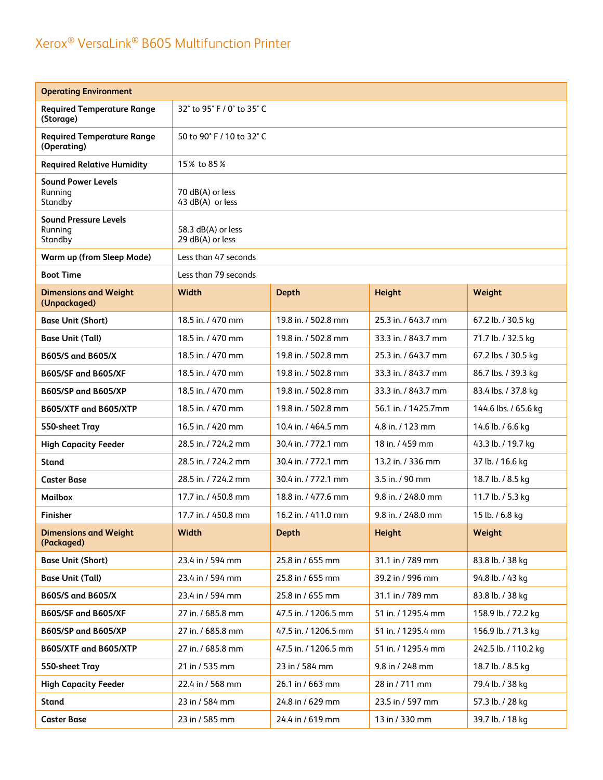| <b>Operating Environment</b>                       |                                        |                      |                     |                      |  |
|----------------------------------------------------|----------------------------------------|----------------------|---------------------|----------------------|--|
| <b>Required Temperature Range</b><br>(Storage)     | 32° to 95° F / 0° to 35° C             |                      |                     |                      |  |
| <b>Required Temperature Range</b><br>(Operating)   | 50 to 90° F / 10 to 32° C              |                      |                     |                      |  |
| <b>Required Relative Humidity</b>                  | 15% to 85%                             |                      |                     |                      |  |
| <b>Sound Power Levels</b><br>Running<br>Standby    | 70 dB(A) or less<br>43 dB(A) or less   |                      |                     |                      |  |
| <b>Sound Pressure Levels</b><br>Running<br>Standby | 58.3 dB(A) or less<br>29 dB(A) or less |                      |                     |                      |  |
| Warm up (from Sleep Mode)                          | Less than 47 seconds                   |                      |                     |                      |  |
| <b>Boot Time</b>                                   | Less than 79 seconds                   |                      |                     |                      |  |
| <b>Dimensions and Weight</b><br>(Unpackaged)       | Width                                  | <b>Depth</b>         | Height              | Weight               |  |
| <b>Base Unit (Short)</b>                           | 18.5 in. / 470 mm                      | 19.8 in. / 502.8 mm  | 25.3 in. / 643.7 mm | 67.2 lb. / 30.5 kg   |  |
| <b>Base Unit (Tall)</b>                            | 18.5 in. / 470 mm                      | 19.8 in. / 502.8 mm  | 33.3 in. / 843.7 mm | 71.7 lb. / 32.5 kg   |  |
| B605/S and B605/X                                  | 18.5 in. / 470 mm                      | 19.8 in. / 502.8 mm  | 25.3 in. / 643.7 mm | 67.2 lbs. / 30.5 kg  |  |
| <b>B605/SF and B605/XF</b>                         | 18.5 in. / 470 mm                      | 19.8 in. / 502.8 mm  | 33.3 in. / 843.7 mm | 86.7 lbs. / 39.3 kg  |  |
| <b>B605/SP and B605/XP</b>                         | 18.5 in. / 470 mm                      | 19.8 in. / 502.8 mm  | 33.3 in. / 843.7 mm | 83.4 lbs. / 37.8 kg  |  |
| B605/XTF and B605/XTP                              | 18.5 in. / 470 mm                      | 19.8 in. / 502.8 mm  | 56.1 in. / 1425.7mm | 144.6 lbs. / 65.6 kg |  |
| 550-sheet Tray                                     | 16.5 in. / 420 mm                      | 10.4 in. / 464.5 mm  | 4.8 in. / 123 mm    | 14.6 lb. / 6.6 kg    |  |
| <b>High Capacity Feeder</b>                        | 28.5 in. / 724.2 mm                    | 30.4 in. / 772.1 mm  | 18 in. / 459 mm     | 43.3 lb. / 19.7 kg   |  |
| <b>Stand</b>                                       | 28.5 in. / 724.2 mm                    | 30.4 in. / 772.1 mm  | 13.2 in. / 336 mm   | 37 lb. / 16.6 kg     |  |
| <b>Caster Base</b>                                 | 28.5 in. / 724.2 mm                    | 30.4 in. / 772.1 mm  | 3.5 in. / 90 mm     | 18.7 lb. / 8.5 kg    |  |
| <b>Mailbox</b>                                     | 17.7 in. / 450.8 mm                    | 18.8 in. / 477.6 mm  | 9.8 in. / 248.0 mm  | 11.7 lb. / 5.3 kg    |  |
| <b>Finisher</b>                                    | 17.7 in. / 450.8 mm                    | 16.2 in. / 411.0 mm  | 9.8 in. / 248.0 mm  | 15 lb. / 6.8 kg      |  |
| <b>Dimensions and Weight</b><br>(Packaged)         | Width                                  | <b>Depth</b>         | Height              | Weight               |  |
| <b>Base Unit (Short)</b>                           | 23.4 in / 594 mm                       | 25.8 in / 655 mm     | 31.1 in / 789 mm    | 83.8 lb. / 38 kg     |  |
| <b>Base Unit (Tall)</b>                            | 23.4 in / 594 mm                       | 25.8 in / 655 mm     | 39.2 in / 996 mm    | 94.8 lb. / 43 kg     |  |
| B605/S and B605/X                                  | 23.4 in / 594 mm                       | 25.8 in / 655 mm     | 31.1 in / 789 mm    | 83.8 lb. / 38 kg     |  |
| B605/SF and B605/XF                                | 27 in. / 685.8 mm                      | 47.5 in. / 1206.5 mm | 51 in. / 1295.4 mm  | 158.9 lb. / 72.2 kg  |  |
| <b>B605/SP and B605/XP</b>                         | 27 in. / 685.8 mm                      | 47.5 in. / 1206.5 mm | 51 in. / 1295.4 mm  | 156.9 lb. / 71.3 kg  |  |
| B605/XTF and B605/XTP                              | 27 in. / 685.8 mm                      | 47.5 in. / 1206.5 mm | 51 in. / 1295.4 mm  | 242.5 lb. / 110.2 kg |  |
| 550-sheet Tray                                     | 21 in / 535 mm                         | 23 in / 584 mm       | 9.8 in / 248 mm     | 18.7 lb. / 8.5 kg    |  |
| <b>High Capacity Feeder</b>                        | 22.4 in / 568 mm                       | 26.1 in / 663 mm     | 28 in / 711 mm      | 79.4 lb. / 38 kg     |  |
| <b>Stand</b>                                       | 23 in / 584 mm                         | 24.8 in / 629 mm     | 23.5 in / 597 mm    | 57.3 lb. / 28 kg     |  |
| <b>Caster Base</b>                                 | 23 in / 585 mm                         | 24.4 in / 619 mm     | 13 in / 330 mm      | 39.7 lb. / 18 kg     |  |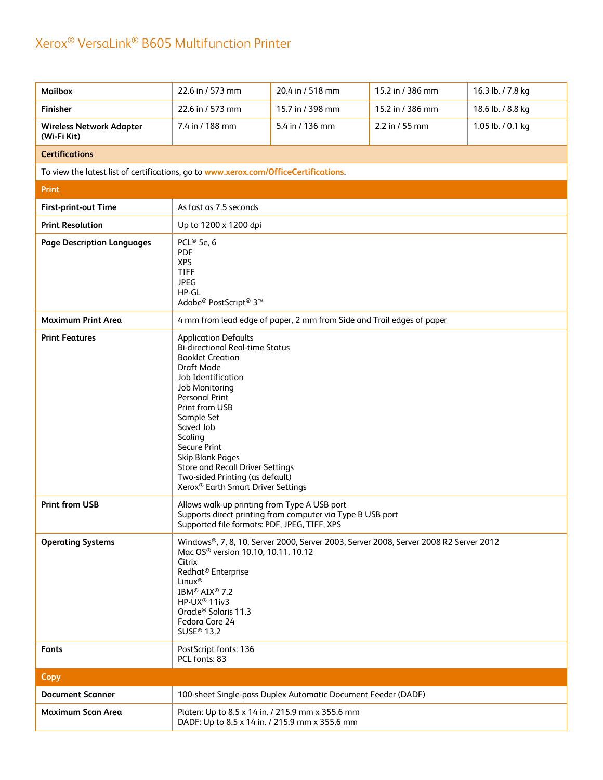| <b>Mailbox</b>                                                                       | 22.6 in / 573 mm                                                                                                                                                                                                                                                                                                                                                                                                          | 20.4 in / 518 mm                                                                      | 15.2 in / 386 mm | 16.3 lb. / 7.8 kg |  |
|--------------------------------------------------------------------------------------|---------------------------------------------------------------------------------------------------------------------------------------------------------------------------------------------------------------------------------------------------------------------------------------------------------------------------------------------------------------------------------------------------------------------------|---------------------------------------------------------------------------------------|------------------|-------------------|--|
| <b>Finisher</b>                                                                      | 22.6 in / 573 mm                                                                                                                                                                                                                                                                                                                                                                                                          | 15.7 in / 398 mm                                                                      | 15.2 in / 386 mm | 18.6 lb. / 8.8 kg |  |
| <b>Wireless Network Adapter</b><br>(Wi-Fi Kit)                                       | 7.4 in / 188 mm                                                                                                                                                                                                                                                                                                                                                                                                           | 5.4 in / 136 mm                                                                       | 2.2 in / 55 mm   | 1.05 lb. / 0.1 kg |  |
| <b>Certifications</b>                                                                |                                                                                                                                                                                                                                                                                                                                                                                                                           |                                                                                       |                  |                   |  |
| To view the latest list of certifications, go to www.xerox.com/OfficeCertifications. |                                                                                                                                                                                                                                                                                                                                                                                                                           |                                                                                       |                  |                   |  |
| <b>Print</b>                                                                         |                                                                                                                                                                                                                                                                                                                                                                                                                           |                                                                                       |                  |                   |  |
| First-print-out Time                                                                 | As fast as 7.5 seconds                                                                                                                                                                                                                                                                                                                                                                                                    |                                                                                       |                  |                   |  |
| <b>Print Resolution</b>                                                              | Up to 1200 x 1200 dpi                                                                                                                                                                                                                                                                                                                                                                                                     |                                                                                       |                  |                   |  |
| <b>Page Description Languages</b>                                                    | PCL® 5e, 6<br><b>PDF</b><br><b>XPS</b><br><b>TIFF</b><br><b>JPEG</b><br>HP-GL<br>Adobe® PostScript® 3™                                                                                                                                                                                                                                                                                                                    |                                                                                       |                  |                   |  |
| <b>Maximum Print Area</b>                                                            | 4 mm from lead edge of paper, 2 mm from Side and Trail edges of paper                                                                                                                                                                                                                                                                                                                                                     |                                                                                       |                  |                   |  |
| <b>Print Features</b>                                                                | <b>Application Defaults</b><br><b>Bi-directional Real-time Status</b><br><b>Booklet Creation</b><br>Draft Mode<br>Job Identification<br>Job Monitoring<br><b>Personal Print</b><br>Print from USB<br>Sample Set<br>Saved Job<br>Scaling<br><b>Secure Print</b><br><b>Skip Blank Pages</b><br><b>Store and Recall Driver Settings</b><br>Two-sided Printing (as default)<br>Xerox <sup>®</sup> Earth Smart Driver Settings |                                                                                       |                  |                   |  |
| <b>Print from USB</b>                                                                | Allows walk-up printing from Type A USB port<br>Supported file formats: PDF, JPEG, TIFF, XPS                                                                                                                                                                                                                                                                                                                              | Supports direct printing from computer via Type B USB port                            |                  |                   |  |
| <b>Operating Systems</b>                                                             | Mac OS <sup>®</sup> version 10.10, 10.11, 10.12<br>Citrix<br>Redhat <sup>®</sup> Enterprise<br>Linux <sup>®</sup><br>IBM <sup>®</sup> AIX <sup>®</sup> 7.2<br>HP-UX <sup>®</sup> 11iv3<br>Oracle <sup>®</sup> Solaris 11.3<br>Fedora Core 24<br>SUSE <sup>®</sup> 13.2                                                                                                                                                    | Windows®, 7, 8, 10, Server 2000, Server 2003, Server 2008, Server 2008 R2 Server 2012 |                  |                   |  |
| Fonts                                                                                | PostScript fonts: 136<br>PCL fonts: 83                                                                                                                                                                                                                                                                                                                                                                                    |                                                                                       |                  |                   |  |
| Copy                                                                                 |                                                                                                                                                                                                                                                                                                                                                                                                                           |                                                                                       |                  |                   |  |
| <b>Document Scanner</b>                                                              |                                                                                                                                                                                                                                                                                                                                                                                                                           | 100-sheet Single-pass Duplex Automatic Document Feeder (DADF)                         |                  |                   |  |
| <b>Maximum Scan Area</b>                                                             | Platen: Up to 8.5 x 14 in. / 215.9 mm x 355.6 mm<br>DADF: Up to 8.5 x 14 in. / 215.9 mm x 355.6 mm                                                                                                                                                                                                                                                                                                                        |                                                                                       |                  |                   |  |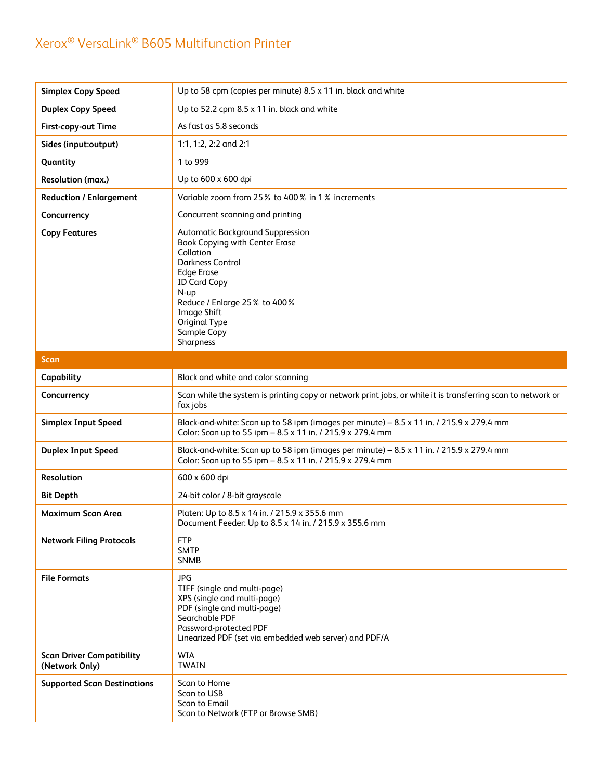| <b>Simplex Copy Speed</b>                          | Up to 58 cpm (copies per minute) 8.5 x 11 in. black and white                                                                                                                                                                                                     |
|----------------------------------------------------|-------------------------------------------------------------------------------------------------------------------------------------------------------------------------------------------------------------------------------------------------------------------|
| <b>Duplex Copy Speed</b>                           | Up to 52.2 cpm 8.5 x 11 in. black and white                                                                                                                                                                                                                       |
| First-copy-out Time                                | As fast as 5.8 seconds                                                                                                                                                                                                                                            |
| Sides (input:output)                               | 1:1, 1:2, 2:2 and 2:1                                                                                                                                                                                                                                             |
| Quantity                                           | 1 to 999                                                                                                                                                                                                                                                          |
| Resolution (max.)                                  | Up to 600 x 600 dpi                                                                                                                                                                                                                                               |
| <b>Reduction / Enlargement</b>                     | Variable zoom from 25% to 400% in 1% increments                                                                                                                                                                                                                   |
| Concurrency                                        | Concurrent scanning and printing                                                                                                                                                                                                                                  |
| <b>Copy Features</b>                               | Automatic Background Suppression<br><b>Book Copying with Center Erase</b><br>Collation<br>Darkness Control<br><b>Edge Erase</b><br><b>ID Card Copy</b><br>N-up<br>Reduce / Enlarge 25% to 400%<br><b>Image Shift</b><br>Original Type<br>Sample Copy<br>Sharpness |
| Scan                                               |                                                                                                                                                                                                                                                                   |
| Capability                                         | Black and white and color scanning                                                                                                                                                                                                                                |
| Concurrency                                        | Scan while the system is printing copy or network print jobs, or while it is transferring scan to network or<br>fax jobs                                                                                                                                          |
| <b>Simplex Input Speed</b>                         | Black-and-white: Scan up to 58 ipm (images per minute) - 8.5 x 11 in. / 215.9 x 279.4 mm<br>Color: Scan up to 55 ipm - 8.5 x 11 in. / 215.9 x 279.4 mm                                                                                                            |
| <b>Duplex Input Speed</b>                          | Black-and-white: Scan up to 58 ipm (images per minute) - 8.5 x 11 in. / 215.9 x 279.4 mm<br>Color: Scan up to 55 ipm - 8.5 x 11 in. / 215.9 x 279.4 mm                                                                                                            |
| Resolution                                         | 600 x 600 dpi                                                                                                                                                                                                                                                     |
| <b>Bit Depth</b>                                   | 24-bit color / 8-bit grayscale                                                                                                                                                                                                                                    |
| Maximum Scan Area                                  | Platen: Up to 8.5 x 14 in. / 215.9 x 355.6 mm<br>Document Feeder: Up to 8.5 x 14 in. / 215.9 x 355.6 mm                                                                                                                                                           |
| <b>Network Filing Protocols</b>                    | <b>FTP</b><br><b>SMTP</b><br><b>SNMB</b>                                                                                                                                                                                                                          |
| <b>File Formats</b>                                | <b>JPG</b><br>TIFF (single and multi-page)<br>XPS (single and multi-page)<br>PDF (single and multi-page)<br>Searchable PDF<br>Password-protected PDF<br>Linearized PDF (set via embedded web server) and PDF/A                                                    |
| <b>Scan Driver Compatibility</b><br>(Network Only) | <b>WIA</b><br><b>TWAIN</b>                                                                                                                                                                                                                                        |
| <b>Supported Scan Destinations</b>                 | Scan to Home<br>Scan to USB<br>Scan to Email<br>Scan to Network (FTP or Browse SMB)                                                                                                                                                                               |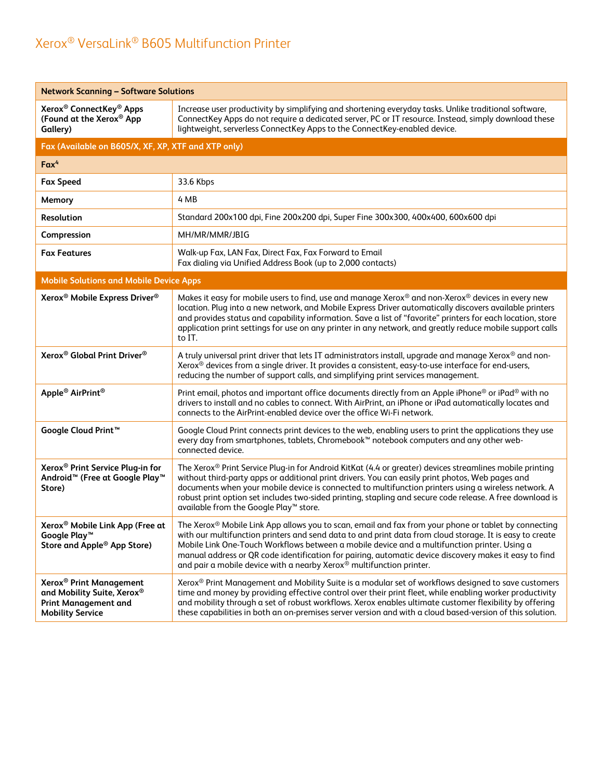| <b>Network Scanning - Software Solutions</b>                                                                                |                                                                                                                                                                                                                                                                                                                                                                                                                                                                                                    |  |  |  |
|-----------------------------------------------------------------------------------------------------------------------------|----------------------------------------------------------------------------------------------------------------------------------------------------------------------------------------------------------------------------------------------------------------------------------------------------------------------------------------------------------------------------------------------------------------------------------------------------------------------------------------------------|--|--|--|
| Xerox <sup>®</sup> ConnectKey <sup>®</sup> Apps<br>(Found at the Xerox <sup>®</sup> App<br>Gallery)                         | Increase user productivity by simplifying and shortening everyday tasks. Unlike traditional software,<br>ConnectKey Apps do not require a dedicated server, PC or IT resource. Instead, simply download these<br>lightweight, serverless ConnectKey Apps to the ConnectKey-enabled device.                                                                                                                                                                                                         |  |  |  |
| Fax (Available on B605/X, XF, XP, XTF and XTP only)                                                                         |                                                                                                                                                                                                                                                                                                                                                                                                                                                                                                    |  |  |  |
| $Fax^4$                                                                                                                     |                                                                                                                                                                                                                                                                                                                                                                                                                                                                                                    |  |  |  |
| <b>Fax Speed</b>                                                                                                            | 33.6 Kbps                                                                                                                                                                                                                                                                                                                                                                                                                                                                                          |  |  |  |
| Memory                                                                                                                      | 4 MB                                                                                                                                                                                                                                                                                                                                                                                                                                                                                               |  |  |  |
| Resolution                                                                                                                  | Standard 200x100 dpi, Fine 200x200 dpi, Super Fine 300x300, 400x400, 600x600 dpi                                                                                                                                                                                                                                                                                                                                                                                                                   |  |  |  |
| Compression                                                                                                                 | MH/MR/MMR/JBIG                                                                                                                                                                                                                                                                                                                                                                                                                                                                                     |  |  |  |
| <b>Fax Features</b>                                                                                                         | Walk-up Fax, LAN Fax, Direct Fax, Fax Forward to Email<br>Fax dialing via Unified Address Book (up to 2,000 contacts)                                                                                                                                                                                                                                                                                                                                                                              |  |  |  |
| <b>Mobile Solutions and Mobile Device Apps</b>                                                                              |                                                                                                                                                                                                                                                                                                                                                                                                                                                                                                    |  |  |  |
| Xerox <sup>®</sup> Mobile Express Driver <sup>®</sup>                                                                       | Makes it easy for mobile users to find, use and manage Xerox® and non-Xerox® devices in every new<br>location. Plug into a new network, and Mobile Express Driver automatically discovers available printers<br>and provides status and capability information. Save a list of "favorite" printers for each location, store<br>application print settings for use on any printer in any network, and greatly reduce mobile support calls<br>to IT.                                                 |  |  |  |
| Xerox <sup>®</sup> Global Print Driver <sup>®</sup>                                                                         | A truly universal print driver that lets IT administrators install, upgrade and manage Xerox® and non-<br>Xerox <sup>®</sup> devices from a single driver. It provides a consistent, easy-to-use interface for end-users,<br>reducing the number of support calls, and simplifying print services management.                                                                                                                                                                                      |  |  |  |
| Apple <sup>®</sup> AirPrint <sup>®</sup>                                                                                    | Print email, photos and important office documents directly from an Apple iPhone <sup>®</sup> or iPad <sup>®</sup> with no<br>drivers to install and no cables to connect. With AirPrint, an iPhone or iPad automatically locates and<br>connects to the AirPrint-enabled device over the office Wi-Fi network.                                                                                                                                                                                    |  |  |  |
| Google Cloud Print <sup>™</sup>                                                                                             | Google Cloud Print connects print devices to the web, enabling users to print the applications they use<br>every day from smartphones, tablets, Chromebook™ notebook computers and any other web-<br>connected device.                                                                                                                                                                                                                                                                             |  |  |  |
| Xerox <sup>®</sup> Print Service Plug-in for<br>Android <sup>™</sup> (Free at Google Play <sup>™</sup><br>Store)            | The Xerox® Print Service Plug-in for Android KitKat (4.4 or greater) devices streamlines mobile printing<br>without third-party apps or additional print drivers. You can easily print photos, Web pages and<br>documents when your mobile device is connected to multifunction printers using a wireless network. A<br>robust print option set includes two-sided printing, stapling and secure code release. A free download is<br>available from the Google Play™ store.                        |  |  |  |
| Xerox <sup>®</sup> Mobile Link App (Free at<br>Google Play™<br>Store and Apple <sup>®</sup> App Store)                      | The Xerox® Mobile Link App allows you to scan, email and fax from your phone or tablet by connecting<br>with our multifunction printers and send data to and print data from cloud storage. It is easy to create<br>Mobile Link One-Touch Workflows between a mobile device and a multifunction printer. Using a<br>manual address or QR code identification for pairing, automatic device discovery makes it easy to find<br>and pair a mobile device with a nearby Xerox® multifunction printer. |  |  |  |
| Xerox <sup>®</sup> Print Management<br>and Mobility Suite, Xerox®<br><b>Print Management and</b><br><b>Mobility Service</b> | Xerox <sup>®</sup> Print Management and Mobility Suite is a modular set of workflows designed to save customers<br>time and money by providing effective control over their print fleet, while enabling worker productivity<br>and mobility through a set of robust workflows. Xerox enables ultimate customer flexibility by offering<br>these capabilities in both an on-premises server version and with a cloud based-version of this solution.                                                |  |  |  |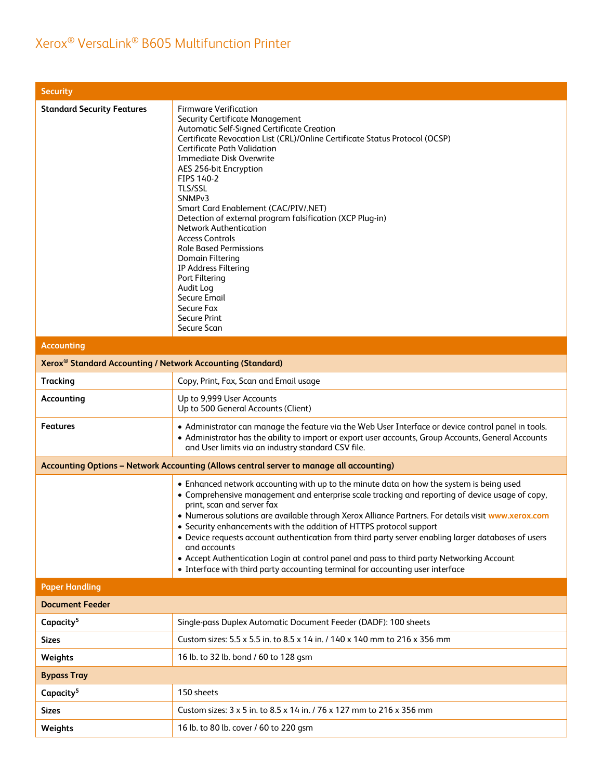| <b>Security</b>                                                        |                                                                                                                                                                                                                                                                                                                                                                                                                                                                                                                                                                                                                                                                                                                     |
|------------------------------------------------------------------------|---------------------------------------------------------------------------------------------------------------------------------------------------------------------------------------------------------------------------------------------------------------------------------------------------------------------------------------------------------------------------------------------------------------------------------------------------------------------------------------------------------------------------------------------------------------------------------------------------------------------------------------------------------------------------------------------------------------------|
| <b>Standard Security Features</b>                                      | <b>Firmware Verification</b><br><b>Security Certificate Management</b><br>Automatic Self-Signed Certificate Creation<br>Certificate Revocation List (CRL)/Online Certificate Status Protocol (OCSP)<br><b>Certificate Path Validation</b><br><b>Immediate Disk Overwrite</b><br>AES 256-bit Encryption<br>FIPS 140-2<br>TLS/SSL<br>SNMP <sub>v3</sub><br>Smart Card Enablement (CAC/PIV/.NET)<br>Detection of external program falsification (XCP Plug-in)<br><b>Network Authentication</b><br><b>Access Controls</b><br><b>Role Based Permissions</b><br><b>Domain Filtering</b><br>IP Address Filtering<br>Port Filtering<br>Audit Log<br><b>Secure Email</b><br>Secure Fax<br><b>Secure Print</b><br>Secure Scan |
| <b>Accounting</b>                                                      |                                                                                                                                                                                                                                                                                                                                                                                                                                                                                                                                                                                                                                                                                                                     |
| Xerox <sup>®</sup> Standard Accounting / Network Accounting (Standard) |                                                                                                                                                                                                                                                                                                                                                                                                                                                                                                                                                                                                                                                                                                                     |
| <b>Tracking</b>                                                        | Copy, Print, Fax, Scan and Email usage                                                                                                                                                                                                                                                                                                                                                                                                                                                                                                                                                                                                                                                                              |
| Accounting                                                             | Up to 9,999 User Accounts<br>Up to 500 General Accounts (Client)                                                                                                                                                                                                                                                                                                                                                                                                                                                                                                                                                                                                                                                    |
| <b>Features</b>                                                        | • Administrator can manage the feature via the Web User Interface or device control panel in tools.<br>• Administrator has the ability to import or export user accounts, Group Accounts, General Accounts<br>and User limits via an industry standard CSV file.                                                                                                                                                                                                                                                                                                                                                                                                                                                    |
|                                                                        | Accounting Options - Network Accounting (Allows central server to manage all accounting)                                                                                                                                                                                                                                                                                                                                                                                                                                                                                                                                                                                                                            |
|                                                                        | • Enhanced network accounting with up to the minute data on how the system is being used<br>• Comprehensive management and enterprise scale tracking and reporting of device usage of copy,<br>print, scan and server fax<br>. Numerous solutions are available through Xerox Alliance Partners. For details visit www.xerox.com<br>• Security enhancements with the addition of HTTPS protocol support<br>• Device requests account authentication from third party server enabling larger databases of users<br>and accounts<br>• Accept Authentication Login at control panel and pass to third party Networking Account<br>• Interface with third party accounting terminal for accounting user interface       |
| <b>Paper Handling</b>                                                  |                                                                                                                                                                                                                                                                                                                                                                                                                                                                                                                                                                                                                                                                                                                     |
| <b>Document Feeder</b>                                                 |                                                                                                                                                                                                                                                                                                                                                                                                                                                                                                                                                                                                                                                                                                                     |
| Capacity <sup>5</sup>                                                  | Single-pass Duplex Automatic Document Feeder (DADF): 100 sheets                                                                                                                                                                                                                                                                                                                                                                                                                                                                                                                                                                                                                                                     |
| <b>Sizes</b>                                                           | Custom sizes: 5.5 x 5.5 in. to 8.5 x 14 in. / 140 x 140 mm to 216 x 356 mm                                                                                                                                                                                                                                                                                                                                                                                                                                                                                                                                                                                                                                          |
| Weights                                                                | 16 lb. to 32 lb. bond / 60 to 128 gsm                                                                                                                                                                                                                                                                                                                                                                                                                                                                                                                                                                                                                                                                               |
| <b>Bypass Tray</b>                                                     |                                                                                                                                                                                                                                                                                                                                                                                                                                                                                                                                                                                                                                                                                                                     |
| Capacity <sup>5</sup>                                                  | 150 sheets                                                                                                                                                                                                                                                                                                                                                                                                                                                                                                                                                                                                                                                                                                          |
| Sizes                                                                  | Custom sizes: 3 x 5 in. to 8.5 x 14 in. / 76 x 127 mm to 216 x 356 mm                                                                                                                                                                                                                                                                                                                                                                                                                                                                                                                                                                                                                                               |
| Weights                                                                | 16 lb. to 80 lb. cover / 60 to 220 gsm                                                                                                                                                                                                                                                                                                                                                                                                                                                                                                                                                                                                                                                                              |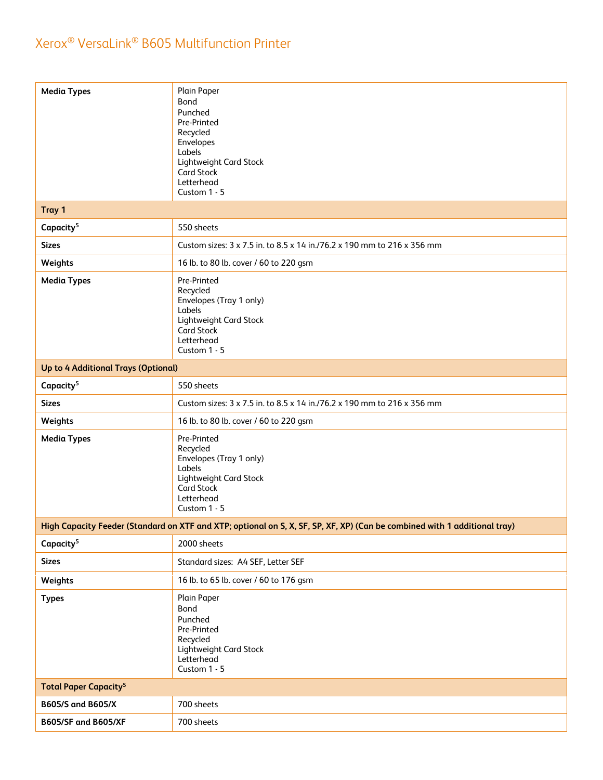| <b>Media Types</b>                      | Plain Paper<br><b>Bond</b><br>Punched<br>Pre-Printed<br>Recycled<br>Envelopes<br>Labels<br>Lightweight Card Stock<br><b>Card Stock</b><br>Letterhead<br>Custom 1 - 5 |
|-----------------------------------------|----------------------------------------------------------------------------------------------------------------------------------------------------------------------|
| Tray 1                                  |                                                                                                                                                                      |
| Capacity <sup>5</sup>                   | 550 sheets                                                                                                                                                           |
| <b>Sizes</b>                            | Custom sizes: 3 x 7.5 in. to 8.5 x 14 in./76.2 x 190 mm to 216 x 356 mm                                                                                              |
| Weights                                 | 16 lb. to 80 lb. cover / 60 to 220 gsm                                                                                                                               |
| <b>Media Types</b>                      | Pre-Printed<br>Recycled<br>Envelopes (Tray 1 only)<br>Labels<br>Lightweight Card Stock<br>Card Stock<br>Letterhead<br>Custom 1 - 5                                   |
| Up to 4 Additional Trays (Optional)     |                                                                                                                                                                      |
| Capacity <sup>5</sup>                   | 550 sheets                                                                                                                                                           |
| <b>Sizes</b>                            | Custom sizes: 3 x 7.5 in. to 8.5 x 14 in./76.2 x 190 mm to 216 x 356 mm                                                                                              |
| Weights                                 | 16 lb. to 80 lb. cover / 60 to 220 gsm                                                                                                                               |
| <b>Media Types</b>                      | Pre-Printed<br>Recycled<br>Envelopes (Tray 1 only)<br>Labels<br>Lightweight Card Stock<br><b>Card Stock</b><br>Letterhead<br>Custom 1 - 5                            |
|                                         | High Capacity Feeder (Standard on XTF and XTP; optional on S, X, SF, SP, XF, XP) (Can be combined with 1 additional tray)                                            |
| Capacity <sup>5</sup>                   | 2000 sheets                                                                                                                                                          |
| <b>Sizes</b>                            | Standard sizes: A4 SEF, Letter SEF                                                                                                                                   |
| Weights                                 | 16 lb. to 65 lb. cover / 60 to 176 gsm                                                                                                                               |
| <b>Types</b>                            | Plain Paper<br>Bond<br>Punched<br>Pre-Printed<br>Recycled<br>Lightweight Card Stock<br>Letterhead<br>Custom 1 - 5                                                    |
| <b>Total Paper Capacity<sup>5</sup></b> |                                                                                                                                                                      |
| B605/S and B605/X                       | 700 sheets                                                                                                                                                           |
| <b>B605/SF and B605/XF</b>              | 700 sheets                                                                                                                                                           |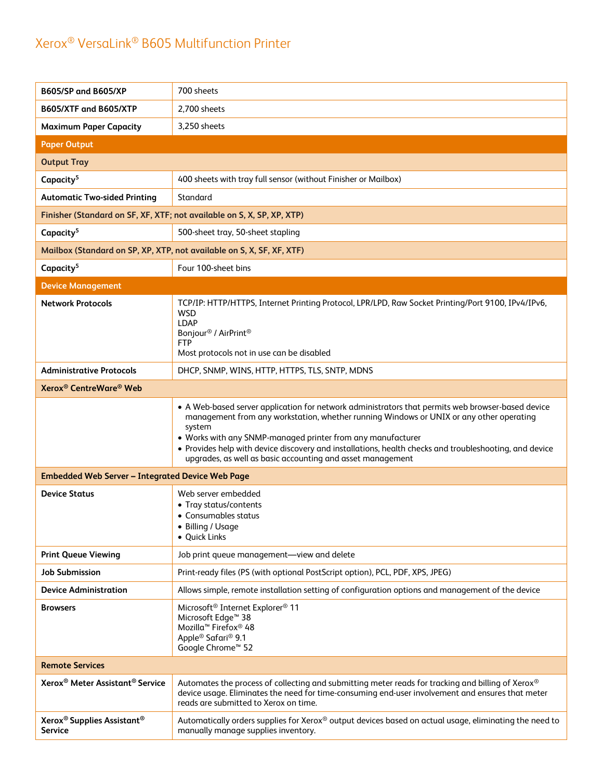| <b>B605/SP and B605/XP</b>                                           | 700 sheets                                                                                                                                                                                                                                                                                                                                                                                                                                    |
|----------------------------------------------------------------------|-----------------------------------------------------------------------------------------------------------------------------------------------------------------------------------------------------------------------------------------------------------------------------------------------------------------------------------------------------------------------------------------------------------------------------------------------|
| B605/XTF and B605/XTP                                                | 2,700 sheets                                                                                                                                                                                                                                                                                                                                                                                                                                  |
| <b>Maximum Paper Capacity</b>                                        | 3,250 sheets                                                                                                                                                                                                                                                                                                                                                                                                                                  |
| <b>Paper Output</b>                                                  |                                                                                                                                                                                                                                                                                                                                                                                                                                               |
| <b>Output Tray</b>                                                   |                                                                                                                                                                                                                                                                                                                                                                                                                                               |
| Capacity <sup>5</sup>                                                | 400 sheets with tray full sensor (without Finisher or Mailbox)                                                                                                                                                                                                                                                                                                                                                                                |
| <b>Automatic Two-sided Printing</b>                                  | Standard                                                                                                                                                                                                                                                                                                                                                                                                                                      |
|                                                                      | Finisher (Standard on SF, XF, XTF; not available on S, X, SP, XP, XTP)                                                                                                                                                                                                                                                                                                                                                                        |
| Capacity <sup>5</sup>                                                | 500-sheet tray, 50-sheet stapling                                                                                                                                                                                                                                                                                                                                                                                                             |
|                                                                      | Mailbox (Standard on SP, XP, XTP, not available on S, X, SF, XF, XTF)                                                                                                                                                                                                                                                                                                                                                                         |
| Capacity <sup>5</sup>                                                | Four 100-sheet bins                                                                                                                                                                                                                                                                                                                                                                                                                           |
| <b>Device Management</b>                                             |                                                                                                                                                                                                                                                                                                                                                                                                                                               |
| <b>Network Protocols</b>                                             | TCP/IP: HTTP/HTTPS, Internet Printing Protocol, LPR/LPD, Raw Socket Printing/Port 9100, IPv4/IPv6,<br><b>WSD</b><br><b>LDAP</b><br>Bonjour <sup>®</sup> / AirPrint <sup>®</sup><br><b>FTP</b><br>Most protocols not in use can be disabled                                                                                                                                                                                                    |
| <b>Administrative Protocols</b>                                      | DHCP, SNMP, WINS, HTTP, HTTPS, TLS, SNTP, MDNS                                                                                                                                                                                                                                                                                                                                                                                                |
| Xerox <sup>®</sup> CentreWare <sup>®</sup> Web                       |                                                                                                                                                                                                                                                                                                                                                                                                                                               |
|                                                                      | • A Web-based server application for network administrators that permits web browser-based device<br>management from any workstation, whether running Windows or UNIX or any other operating<br>system<br>• Works with any SNMP-managed printer from any manufacturer<br>• Provides help with device discovery and installations, health checks and troubleshooting, and device<br>upgrades, as well as basic accounting and asset management |
| <b>Embedded Web Server - Integrated Device Web Page</b>              |                                                                                                                                                                                                                                                                                                                                                                                                                                               |
| <b>Device Status</b>                                                 | Web server embedded<br>• Tray status/contents<br>• Consumables status<br>• Billing / Usage<br>• Quick Links                                                                                                                                                                                                                                                                                                                                   |
| <b>Print Queue Viewing</b>                                           | Job print queue management-view and delete                                                                                                                                                                                                                                                                                                                                                                                                    |
| <b>Job Submission</b>                                                | Print-ready files (PS (with optional PostScript option), PCL, PDF, XPS, JPEG)                                                                                                                                                                                                                                                                                                                                                                 |
| <b>Device Administration</b>                                         | Allows simple, remote installation setting of configuration options and management of the device                                                                                                                                                                                                                                                                                                                                              |
| <b>Browsers</b>                                                      | Microsoft <sup>®</sup> Internet Explorer <sup>®</sup> 11<br>Microsoft Edge <sup>™</sup> 38<br>Mozilla <sup>™</sup> Firefox <sup>®</sup> 48<br>Apple <sup>®</sup> Safari <sup>®</sup> 9.1<br>Google Chrome <sup>™</sup> 52                                                                                                                                                                                                                     |
| <b>Remote Services</b>                                               |                                                                                                                                                                                                                                                                                                                                                                                                                                               |
| Xerox <sup>®</sup> Meter Assistant <sup>®</sup> Service              | Automates the process of collecting and submitting meter reads for tracking and billing of Xerox®<br>device usage. Eliminates the need for time-consuming end-user involvement and ensures that meter<br>reads are submitted to Xerox on time.                                                                                                                                                                                                |
| Xerox <sup>®</sup> Supplies Assistant <sup>®</sup><br><b>Service</b> | Automatically orders supplies for Xerox® output devices based on actual usage, eliminating the need to<br>manually manage supplies inventory.                                                                                                                                                                                                                                                                                                 |